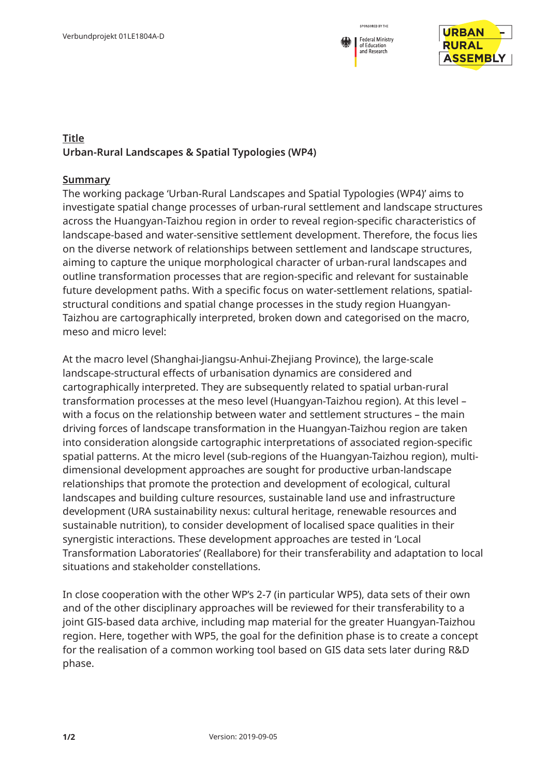



## **Title Urban-Rural Landscapes & Spatial Typologies (WP4)**

## **Summary**

The working package 'Urban-Rural Landscapes and Spatial Typologies (WP4)' aims to investigate spatial change processes of urban-rural settlement and landscape structures across the Huangyan-Taizhou region in order to reveal region-specific characteristics of landscape-based and water-sensitive settlement development. Therefore, the focus lies on the diverse network of relationships between settlement and landscape structures, aiming to capture the unique morphological character of urban-rural landscapes and outline transformation processes that are region-specific and relevant for sustainable future development paths. With a specific focus on water-settlement relations, spatialstructural conditions and spatial change processes in the study region Huangyan-Taizhou are cartographically interpreted, broken down and categorised on the macro, meso and micro level:

At the macro level (Shanghai-Jiangsu-Anhui-Zhejiang Province), the large-scale landscape-structural effects of urbanisation dynamics are considered and cartographically interpreted. They are subsequently related to spatial urban-rural transformation processes at the meso level (Huangyan-Taizhou region). At this level – with a focus on the relationship between water and settlement structures – the main driving forces of landscape transformation in the Huangyan-Taizhou region are taken into consideration alongside cartographic interpretations of associated region-specific spatial patterns. At the micro level (sub-regions of the Huangyan-Taizhou region), multidimensional development approaches are sought for productive urban-landscape relationships that promote the protection and development of ecological, cultural landscapes and building culture resources, sustainable land use and infrastructure development (URA sustainability nexus: cultural heritage, renewable resources and sustainable nutrition), to consider development of localised space qualities in their synergistic interactions. These development approaches are tested in 'Local Transformation Laboratories' (Reallabore) for their transferability and adaptation to local situations and stakeholder constellations.

In close cooperation with the other WP's 2-7 (in particular WP5), data sets of their own and of the other disciplinary approaches will be reviewed for their transferability to a joint GIS-based data archive, including map material for the greater Huangyan-Taizhou region. Here, together with WP5, the goal for the definition phase is to create a concept for the realisation of a common working tool based on GIS data sets later during R&D phase.